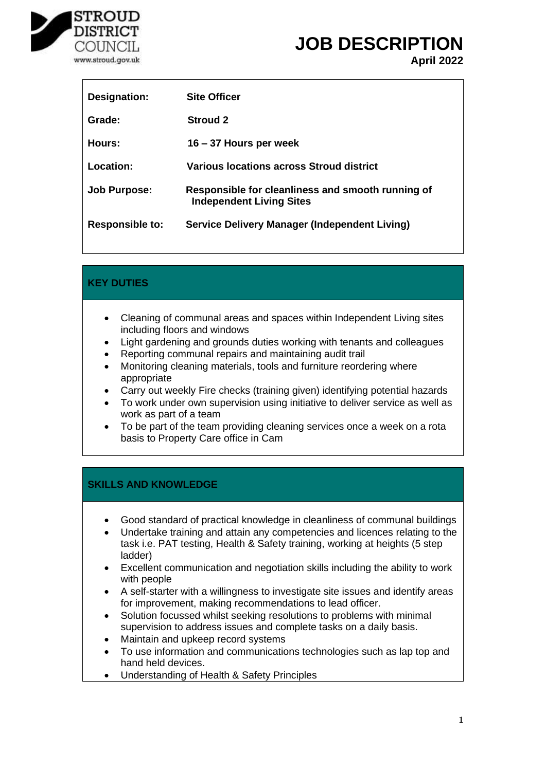

 $\overline{1}$ 

# **JOB DESCRIPTION April 2022**

| Designation:           | <b>Site Officer</b>                                                                  |
|------------------------|--------------------------------------------------------------------------------------|
| Grade:                 | <b>Stroud 2</b>                                                                      |
| Hours:                 | 16 – 37 Hours per week                                                               |
| Location:              | Various locations across Stroud district                                             |
| <b>Job Purpose:</b>    | Responsible for cleanliness and smooth running of<br><b>Independent Living Sites</b> |
| <b>Responsible to:</b> | Service Delivery Manager (Independent Living)                                        |

## **KEY DUTIES**

- Cleaning of communal areas and spaces within Independent Living sites including floors and windows
- Light gardening and grounds duties working with tenants and colleagues
- Reporting communal repairs and maintaining audit trail
- Monitoring cleaning materials, tools and furniture reordering where appropriate
- Carry out weekly Fire checks (training given) identifying potential hazards
- To work under own supervision using initiative to deliver service as well as work as part of a team
- To be part of the team providing cleaning services once a week on a rota basis to Property Care office in Cam

#### **SKILLS AND KNOWLEDGE**

- Good standard of practical knowledge in cleanliness of communal buildings
- Undertake training and attain any competencies and licences relating to the task i.e. PAT testing, Health & Safety training, working at heights (5 step ladder)
- Excellent communication and negotiation skills including the ability to work with people
- A self-starter with a willingness to investigate site issues and identify areas for improvement, making recommendations to lead officer.
- Solution focussed whilst seeking resolutions to problems with minimal supervision to address issues and complete tasks on a daily basis.
- Maintain and upkeep record systems
- To use information and communications technologies such as lap top and hand held devices.
- Understanding of Health & Safety Principles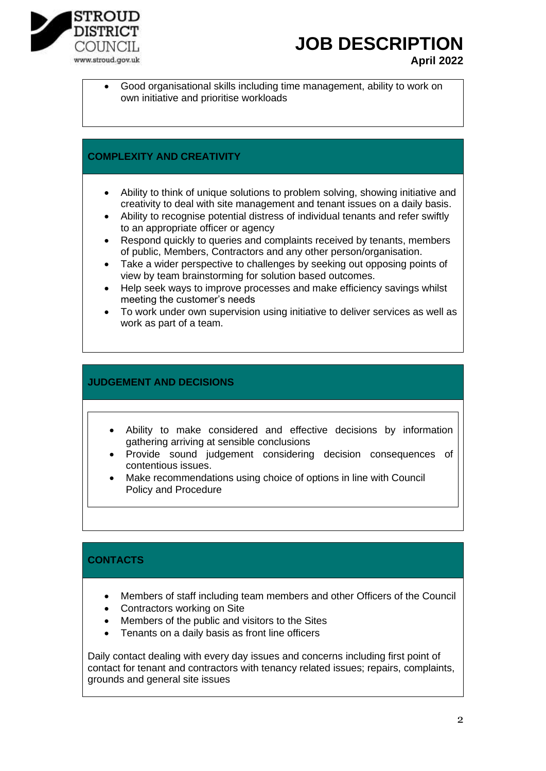

# **JOB DESCRIPTION**

- **April 2022**
- Good organisational skills including time management, ability to work on own initiative and prioritise workloads

#### **COMPLEXITY AND CREATIVITY**

- Ability to think of unique solutions to problem solving, showing initiative and creativity to deal with site management and tenant issues on a daily basis.
- Ability to recognise potential distress of individual tenants and refer swiftly to an appropriate officer or agency
- Respond quickly to queries and complaints received by tenants, members of public, Members, Contractors and any other person/organisation.
- Take a wider perspective to challenges by seeking out opposing points of view by team brainstorming for solution based outcomes.
- Help seek ways to improve processes and make efficiency savings whilst meeting the customer's needs
- To work under own supervision using initiative to deliver services as well as work as part of a team.

#### **JUDGEMENT AND DECISIONS**

- Ability to make considered and effective decisions by information gathering arriving at sensible conclusions
- Provide sound judgement considering decision consequences of contentious issues.
- Make recommendations using choice of options in line with Council Policy and Procedure

## **CONTACTS**

- Members of staff including team members and other Officers of the Council
- Contractors working on Site
- Members of the public and visitors to the Sites
- Tenants on a daily basis as front line officers

Daily contact dealing with every day issues and concerns including first point of contact for tenant and contractors with tenancy related issues; repairs, complaints, grounds and general site issues